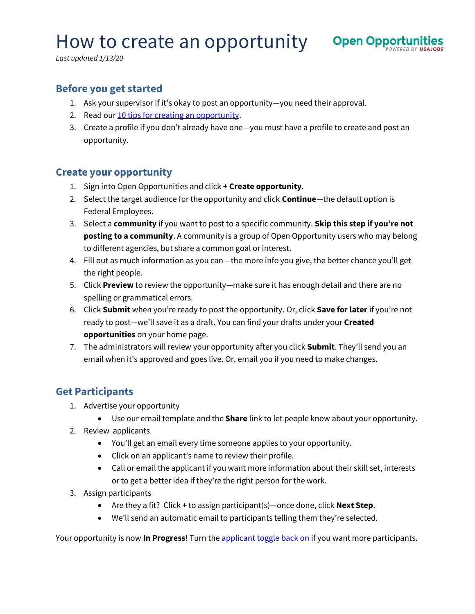# How to create an opportunity open Oppo



*Last updated 1/13/20*

### **Before you get started**

- 1. Ask your supervisor if it's okay to post an opportunity—you need their approval.
- 2. Read ou[r 10 tips for creating an](https://federalist-proxy.app.cloud.gov/site/usajobs/openopps-help/getting-started/top-10-tips/) opportunity.
- 3. Create a profile if you don't already have one—you must have a profile to create and post an opportunity.

#### **Create your opportunity**

- 1. Sign into Open Opportunities and click **+ Create opportunity**.
- 2. Select the target audience for the opportunity and click **Continue**—the default option is Federal Employees.
- 3. Select a **community** if you want to post to a specific community. **Skip this step if you're not posting to a community**. A community is a group of Open Opportunity users who may belong to different agencies, but share a common goal or interest.
- 4. Fill out as much information as you can the more info you give, the better chance you'll get the right people.
- 5. Click **Preview** to review the opportunity—make sure it has enough detail and there are no spelling or grammatical errors.
- 6. Click **Submit** when you're ready to post the opportunity. Or, click **Save for later** if you're not ready to post—we'll save it as a draft. You can find your drafts under your **Created opportunities** on your home page.
- 7. The administrators will review your opportunity after you click **Submit**. They'll send you an email when it's approved and goes live. Or, email you if you need to make changes.

## **Get Participants**

- 1. Advertise your opportunity
	- Use our email template and the **Share** link to let people know about your opportunity.
- 2. Review applicants
	- You'll get an email every time someone applies to your opportunity.
	- Click on an applicant's name to review their profile.
	- Call or email the applicant if you want more information about their skill set, interests or to get a better idea if they're the right person for the work.
- 3. Assign participants
	- Are they a fit? Click **+** to assign participant(s)—once done, click **Next Step**.
	- We'll send an automatic email to participants telling them they're selected.

Your opportunity is now **In Progress**! Turn th[e applicant toggle](https://usajobs.github.io/openopps-help/opportunity/accept-applications/) back on if you want more participants.